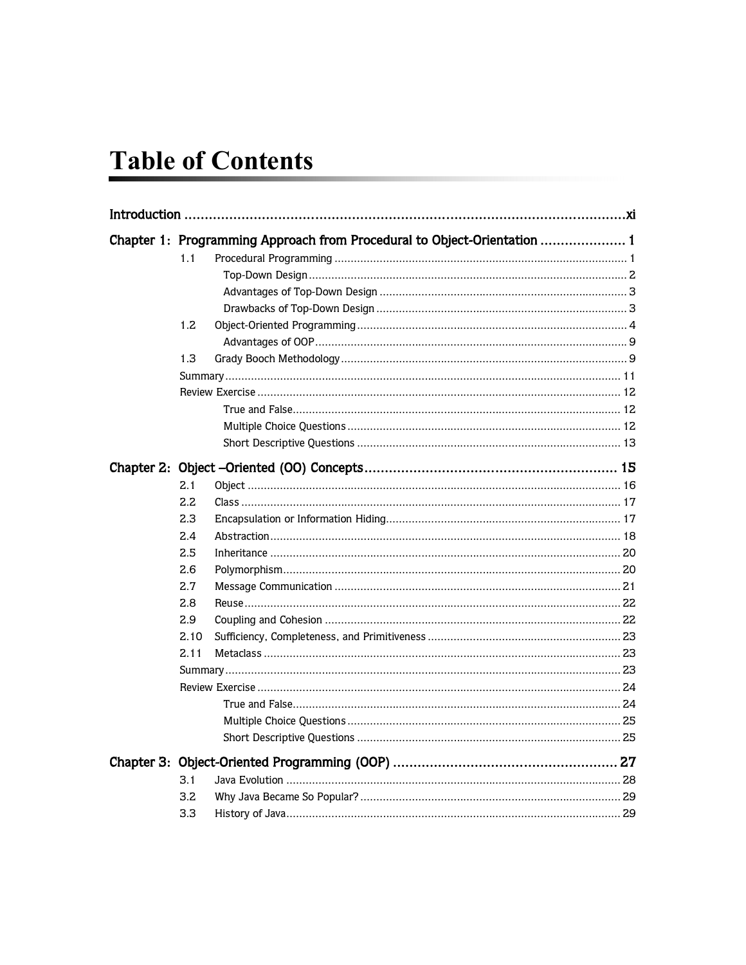# **Table of Contents**

|  |      | Chapter 1: Programming Approach from Procedural to Object-Orientation  1 |  |
|--|------|--------------------------------------------------------------------------|--|
|  | 1.1  |                                                                          |  |
|  |      |                                                                          |  |
|  |      |                                                                          |  |
|  |      |                                                                          |  |
|  | 1.2  |                                                                          |  |
|  |      |                                                                          |  |
|  | 1.3  |                                                                          |  |
|  |      |                                                                          |  |
|  |      |                                                                          |  |
|  |      |                                                                          |  |
|  |      |                                                                          |  |
|  |      |                                                                          |  |
|  |      |                                                                          |  |
|  | 2.1  |                                                                          |  |
|  | 2.2  |                                                                          |  |
|  | 2.3  |                                                                          |  |
|  | 2.4  |                                                                          |  |
|  | 2.5  |                                                                          |  |
|  | 2.6  |                                                                          |  |
|  | 2.7  |                                                                          |  |
|  | 2.8  |                                                                          |  |
|  | 2.9  |                                                                          |  |
|  | 2.10 |                                                                          |  |
|  | 2.11 |                                                                          |  |
|  |      |                                                                          |  |
|  |      |                                                                          |  |
|  |      |                                                                          |  |
|  |      |                                                                          |  |
|  |      |                                                                          |  |
|  |      |                                                                          |  |
|  | 3.1  |                                                                          |  |
|  | 3.2  |                                                                          |  |
|  | 3.3  |                                                                          |  |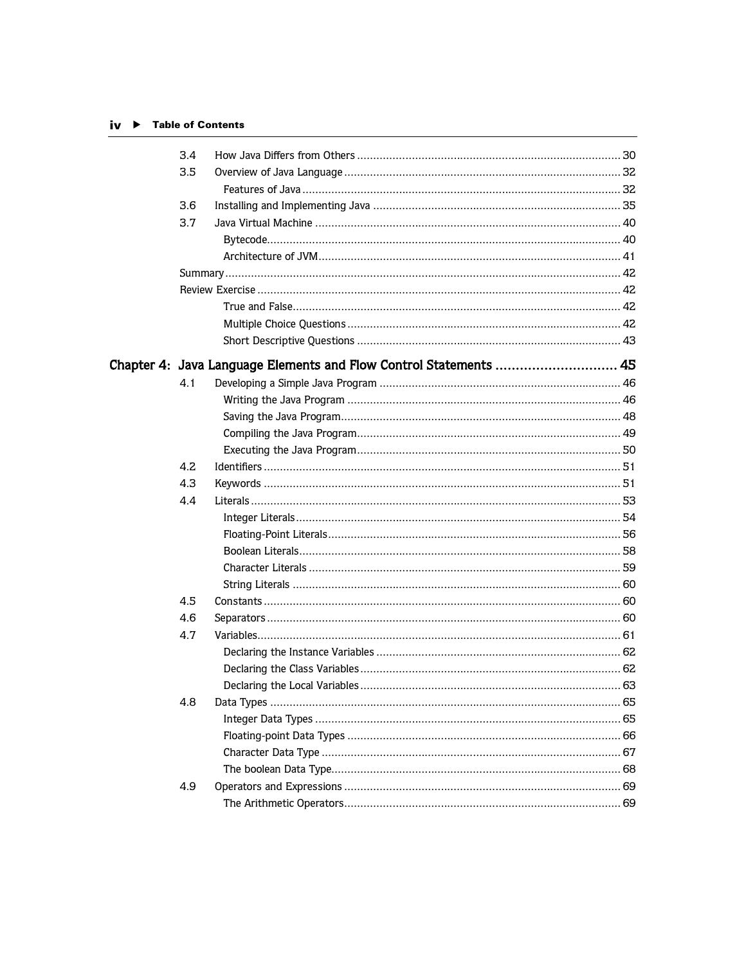### iv ▶ Table of Contents

| 3.4 |                                                                   |  |
|-----|-------------------------------------------------------------------|--|
| 3.5 |                                                                   |  |
|     |                                                                   |  |
| 3.6 |                                                                   |  |
| 3.7 |                                                                   |  |
|     |                                                                   |  |
|     |                                                                   |  |
|     |                                                                   |  |
|     |                                                                   |  |
|     |                                                                   |  |
|     |                                                                   |  |
|     |                                                                   |  |
|     | Chapter 4: Java Language Elements and Flow Control Statements  45 |  |
| 4.1 |                                                                   |  |
|     |                                                                   |  |
|     |                                                                   |  |
|     |                                                                   |  |
|     |                                                                   |  |
| 4.2 |                                                                   |  |
| 4.3 |                                                                   |  |
| 4.4 |                                                                   |  |
|     |                                                                   |  |
|     |                                                                   |  |
|     |                                                                   |  |
|     |                                                                   |  |
|     |                                                                   |  |
| 4.5 |                                                                   |  |
| 4.6 |                                                                   |  |
| 4.7 |                                                                   |  |
|     |                                                                   |  |
|     |                                                                   |  |
|     |                                                                   |  |
| 4.8 |                                                                   |  |
|     |                                                                   |  |
|     |                                                                   |  |
|     |                                                                   |  |
|     |                                                                   |  |
| 4.9 |                                                                   |  |
|     |                                                                   |  |
|     |                                                                   |  |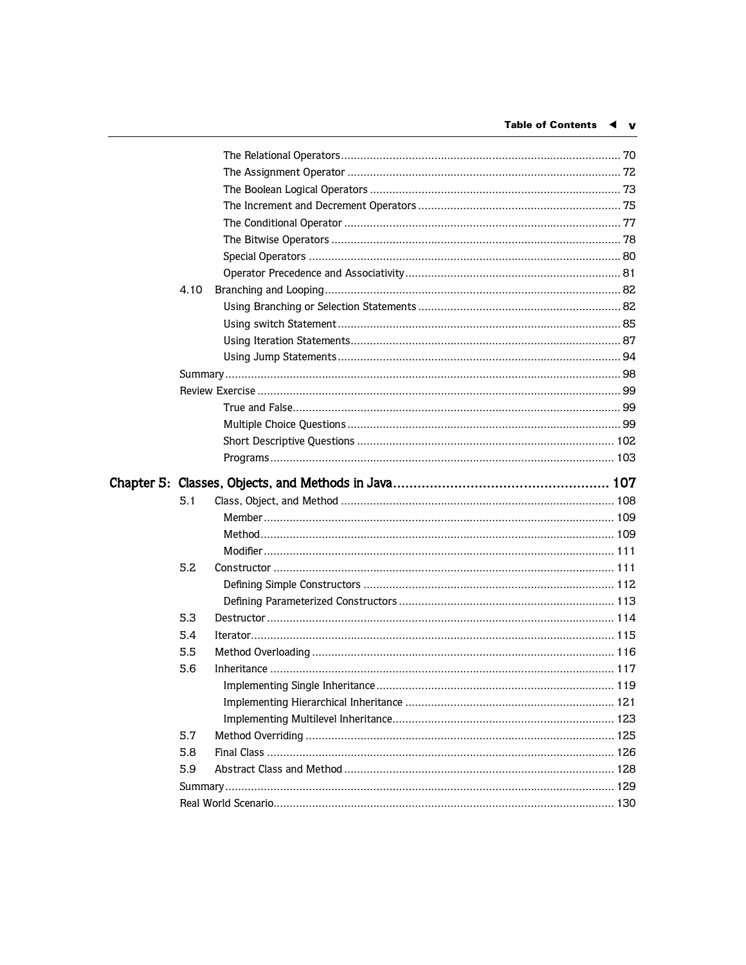| 4.10 |  |
|------|--|
|      |  |
|      |  |
|      |  |
|      |  |
|      |  |
|      |  |
|      |  |
|      |  |
|      |  |
|      |  |
|      |  |
| 5.1  |  |
|      |  |
|      |  |
|      |  |
|      |  |
| 5.2  |  |
|      |  |
|      |  |
| 5.3  |  |
| 5.4  |  |
| 5.5  |  |
| 5.6  |  |
|      |  |
|      |  |
|      |  |
| 5.7  |  |
| 5.8  |  |
| 5.9  |  |
|      |  |
|      |  |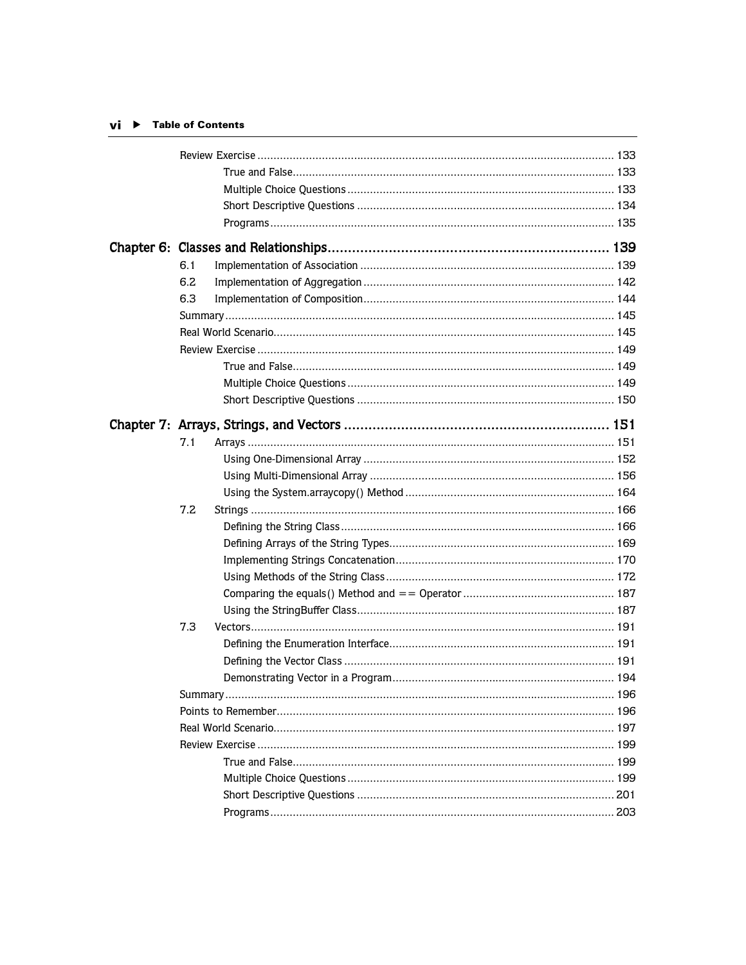### $vi$   $\rightarrow$  Table of Contents

| 6.1 |  |
|-----|--|
| 6.2 |  |
| 6.3 |  |
|     |  |
|     |  |
|     |  |
|     |  |
|     |  |
|     |  |
|     |  |
|     |  |
| 7.1 |  |
|     |  |
|     |  |
|     |  |
| 7.2 |  |
|     |  |
|     |  |
|     |  |
|     |  |
|     |  |
|     |  |
| 7.3 |  |
|     |  |
|     |  |
|     |  |
|     |  |
|     |  |
|     |  |
|     |  |
|     |  |
|     |  |
|     |  |
|     |  |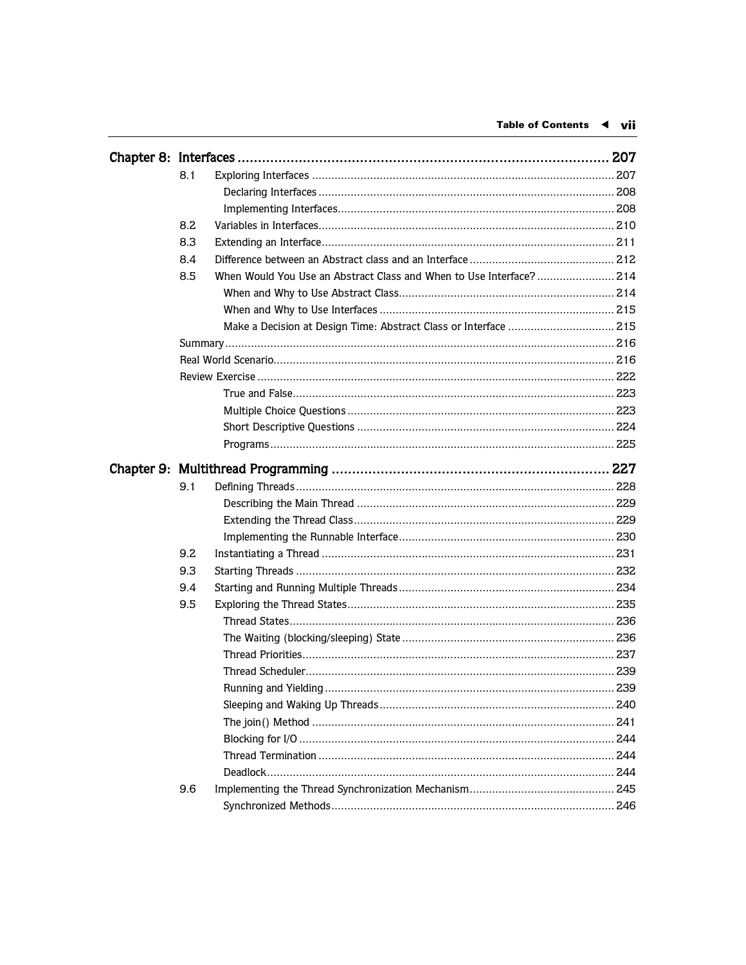|  | 8.1 |                                                                     |  |
|--|-----|---------------------------------------------------------------------|--|
|  |     |                                                                     |  |
|  |     |                                                                     |  |
|  | 8.2 |                                                                     |  |
|  | 8.3 |                                                                     |  |
|  | 8.4 |                                                                     |  |
|  | 8.5 | When Would You Use an Abstract Class and When to Use Interface? 214 |  |
|  |     |                                                                     |  |
|  |     |                                                                     |  |
|  |     | Make a Decision at Design Time: Abstract Class or Interface  215    |  |
|  |     |                                                                     |  |
|  |     |                                                                     |  |
|  |     |                                                                     |  |
|  |     |                                                                     |  |
|  |     |                                                                     |  |
|  |     |                                                                     |  |
|  |     |                                                                     |  |
|  |     |                                                                     |  |
|  | 9.1 |                                                                     |  |
|  |     |                                                                     |  |
|  |     |                                                                     |  |
|  |     |                                                                     |  |
|  | 9.2 |                                                                     |  |
|  | 9.3 |                                                                     |  |
|  | 9.4 |                                                                     |  |
|  | 9.5 |                                                                     |  |
|  |     |                                                                     |  |
|  |     |                                                                     |  |
|  |     |                                                                     |  |
|  |     |                                                                     |  |
|  |     |                                                                     |  |
|  |     |                                                                     |  |
|  |     |                                                                     |  |
|  |     |                                                                     |  |
|  |     |                                                                     |  |
|  |     |                                                                     |  |
|  | 9.6 |                                                                     |  |
|  |     |                                                                     |  |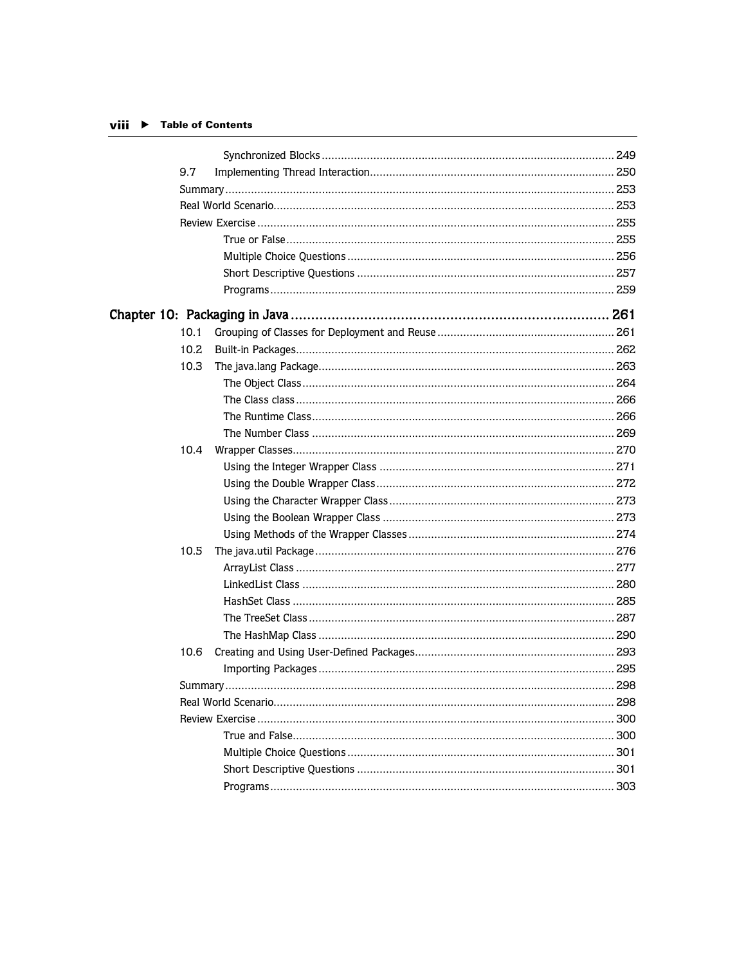### viii ▶ Table of Contents

| 9.7  |                                                               |  |
|------|---------------------------------------------------------------|--|
|      |                                                               |  |
|      |                                                               |  |
|      |                                                               |  |
|      |                                                               |  |
|      |                                                               |  |
|      |                                                               |  |
|      |                                                               |  |
|      | Chapter 10:Packaging in Java ………………………………………………………………………… 261 |  |
| 10.1 |                                                               |  |
| 10.2 |                                                               |  |
| 10.3 |                                                               |  |
|      |                                                               |  |
|      |                                                               |  |
|      |                                                               |  |
|      |                                                               |  |
| 10.4 |                                                               |  |
|      |                                                               |  |
|      |                                                               |  |
|      |                                                               |  |
|      |                                                               |  |
|      |                                                               |  |
| 10.5 |                                                               |  |
|      |                                                               |  |
|      |                                                               |  |
|      |                                                               |  |
|      |                                                               |  |
|      |                                                               |  |
| 10.6 |                                                               |  |
|      |                                                               |  |
|      |                                                               |  |
|      |                                                               |  |
|      |                                                               |  |
|      |                                                               |  |
|      |                                                               |  |
|      |                                                               |  |
|      |                                                               |  |
|      |                                                               |  |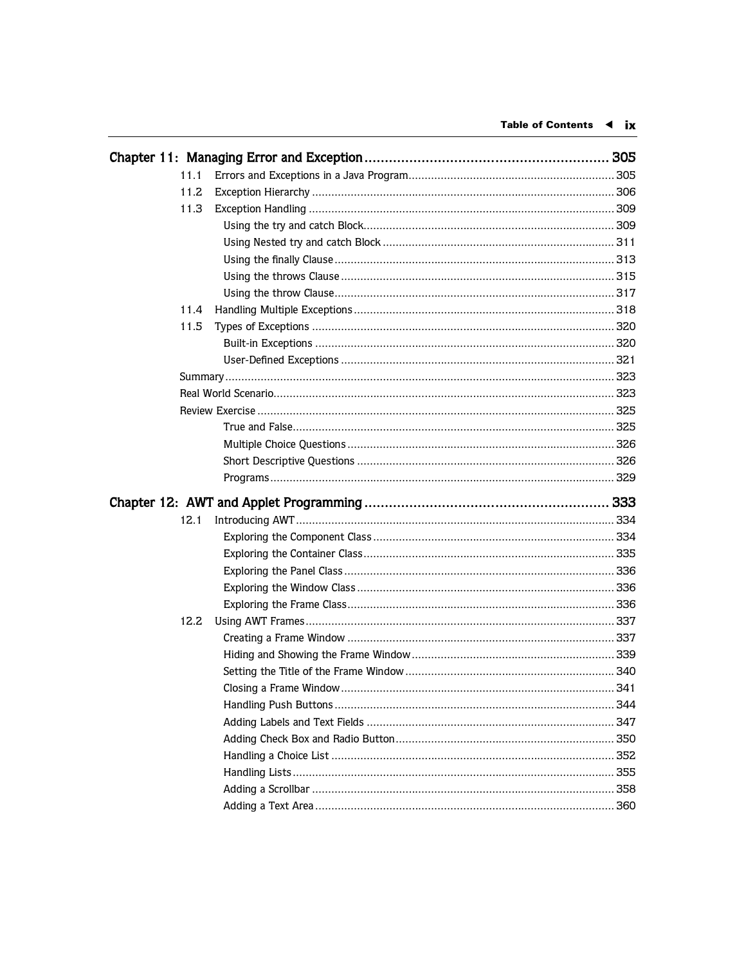| 11.1 |  |
|------|--|
| 11.2 |  |
| 11.3 |  |
|      |  |
|      |  |
|      |  |
|      |  |
|      |  |
| 11.4 |  |
| 11.5 |  |
|      |  |
|      |  |
|      |  |
|      |  |
|      |  |
|      |  |
|      |  |
|      |  |
|      |  |
|      |  |
|      |  |
| 12.1 |  |
|      |  |
|      |  |
|      |  |
|      |  |
|      |  |
| 12.2 |  |
|      |  |
|      |  |
|      |  |
|      |  |
|      |  |
|      |  |
|      |  |
|      |  |
|      |  |
|      |  |
|      |  |
|      |  |
|      |  |